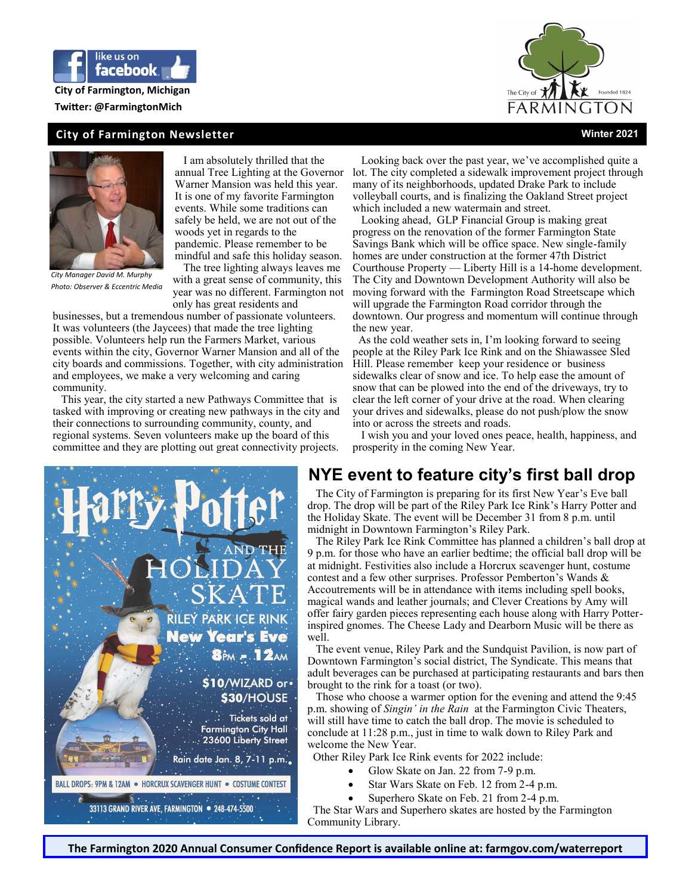

## **City of Farmington, Michigan**

**Twitter: @FarmingtonMich**

#### **City of Farmington Newsletter Winter 2021**





*City Manager David M. Murphy Photo: Observer & Eccentric Media* 

 I am absolutely thrilled that the annual Tree Lighting at the Governor Warner Mansion was held this year. It is one of my favorite Farmington events. While some traditions can safely be held, we are not out of the woods yet in regards to the pandemic. Please remember to be mindful and safe this holiday season.

 The tree lighting always leaves me with a great sense of community, this year was no different. Farmington not only has great residents and

businesses, but a tremendous number of passionate volunteers. It was volunteers (the Jaycees) that made the tree lighting possible. Volunteers help run the Farmers Market, various events within the city, Governor Warner Mansion and all of the city boards and commissions. Together, with city administration and employees, we make a very welcoming and caring community.

 This year, the city started a new Pathways Committee that is tasked with improving or creating new pathways in the city and their connections to surrounding community, county, and regional systems. Seven volunteers make up the board of this committee and they are plotting out great connectivity projects.



 Looking back over the past year, we've accomplished quite a lot. The city completed a sidewalk improvement project through many of its neighborhoods, updated Drake Park to include volleyball courts, and is finalizing the Oakland Street project which included a new watermain and street.

 Looking ahead, GLP Financial Group is making great progress on the renovation of the former Farmington State Savings Bank which will be office space. New single-family homes are under construction at the former 47th District Courthouse Property — Liberty Hill is a 14-home development. The City and Downtown Development Authority will also be moving forward with the Farmington Road Streetscape which will upgrade the Farmington Road corridor through the downtown. Our progress and momentum will continue through the new year.

 As the cold weather sets in, I'm looking forward to seeing people at the Riley Park Ice Rink and on the Shiawassee Sled Hill. Please remember keep your residence or business sidewalks clear of snow and ice. To help ease the amount of snow that can be plowed into the end of the driveways, try to clear the left corner of your drive at the road. When clearing your drives and sidewalks, please do not push/plow the snow into or across the streets and roads.

 I wish you and your loved ones peace, health, happiness, and prosperity in the coming New Year.

### **NYE event to feature city's first ball drop**

 The City of Farmington is preparing for its first New Year's Eve ball drop. The drop will be part of the Riley Park Ice Rink's Harry Potter and the Holiday Skate. The event will be December 31 from 8 p.m. until midnight in Downtown Farmington's Riley Park.

 The Riley Park Ice Rink Committee has planned a children's ball drop at 9 p.m. for those who have an earlier bedtime; the official ball drop will be at midnight. Festivities also include a Horcrux scavenger hunt, costume contest and a few other surprises. Professor Pemberton's Wands & Accoutrements will be in attendance with items including spell books, magical wands and leather journals; and Clever Creations by Amy will offer fairy garden pieces representing each house along with Harry Potterinspired gnomes. The Cheese Lady and Dearborn Music will be there as well.

 The event venue, Riley Park and the Sundquist Pavilion, is now part of Downtown Farmington's social district, The Syndicate. This means that adult beverages can be purchased at participating restaurants and bars then brought to the rink for a toast (or two).

 Those who choose a warmer option for the evening and attend the 9:45 p.m. showing of *Singin' in the Rain* at the Farmington Civic Theaters, will still have time to catch the ball drop. The movie is scheduled to conclude at 11:28 p.m., just in time to walk down to Riley Park and welcome the New Year.

Other Riley Park Ice Rink events for 2022 include:

- Glow Skate on Jan. 22 from 7-9 p.m.
- Star Wars Skate on Feb. 12 from 2-4 p.m.
- Superhero Skate on Feb. 21 from 2-4 p.m.

 The Star Wars and Superhero skates are hosted by the Farmington Community Library.

**The Farmington 2020 Annual Consumer Confidence Report is available online at: farmgov.com/waterreport**